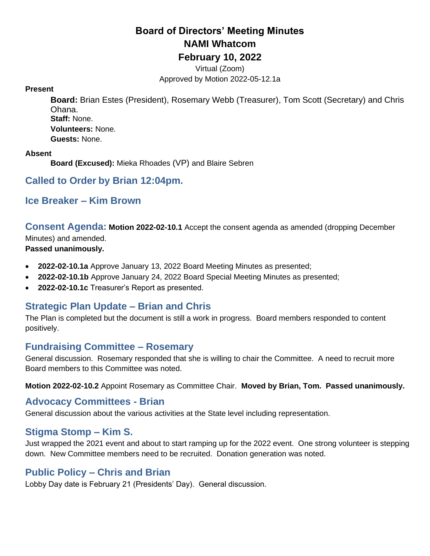# **Board of Directors' Meeting Minutes NAMI Whatcom February 10, 2022**

Virtual (Zoom) Approved by Motion 2022-05-12.1a

#### **Present**

**Board:** Brian Estes (President), Rosemary Webb (Treasurer), Tom Scott (Secretary) and Chris Ohana. **Staff:** None. **Volunteers:** None. **Guests:** None.

#### **Absent**

**Board (Excused):** Mieka Rhoades (VP) and Blaire Sebren

#### **Called to Order by Brian 12:04pm.**

### **Ice Breaker – Kim Brown**

**Consent Agenda: Motion 2022-02-10.1** Accept the consent agenda as amended (dropping December Minutes) and amended.

#### **Passed unanimously.**

- **2022-02-10.1a** Approve January 13, 2022 Board Meeting Minutes as presented;
- **2022-02-10.1b** Approve January 24, 2022 Board Special Meeting Minutes as presented;
- **2022-02-10.1c** Treasurer's Report as presented.

## **Strategic Plan Update – Brian and Chris**

The Plan is completed but the document is still a work in progress. Board members responded to content positively.

#### **Fundraising Committee – Rosemary**

General discussion. Rosemary responded that she is willing to chair the Committee. A need to recruit more Board members to this Committee was noted.

**Motion 2022-02-10.2** Appoint Rosemary as Committee Chair. **Moved by Brian, Tom. Passed unanimously.**

#### **Advocacy Committees - Brian**

General discussion about the various activities at the State level including representation.

#### **Stigma Stomp – Kim S.**

Just wrapped the 2021 event and about to start ramping up for the 2022 event. One strong volunteer is stepping down. New Committee members need to be recruited. Donation generation was noted.

#### **Public Policy – Chris and Brian**

Lobby Day date is February 21 (Presidents' Day). General discussion.